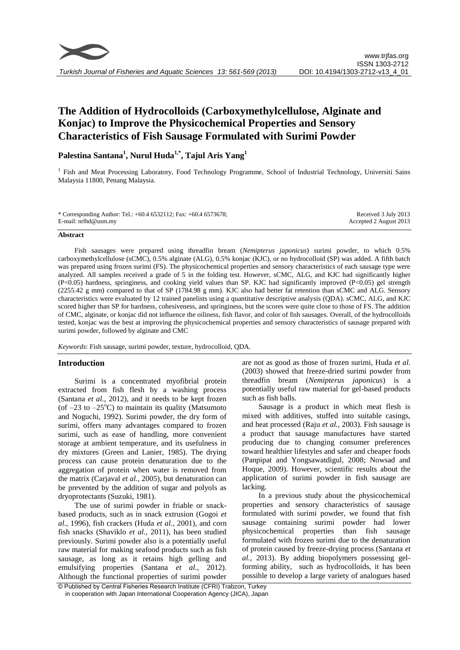# **The Addition of Hydrocolloids (Carboxymethylcellulose, Alginate and Konjac) to Improve the Physicochemical Properties and Sensory Characteristics of Fish Sausage Formulated with Surimi Powder**

# **Palestina Santana 1 , Nurul Huda1,\*, Tajul Aris Yang<sup>1</sup>**

<sup>1</sup> Fish and Meat Processing Laboratory, Food Technology Programme, School of Industrial Technology, Universiti Sains Malaysia 11800, Penang Malaysia.

| * Corresponding Author: Tel.: $+60.4$ 6532112; Fax: $+60.4$ 6573678; | Received 3 July 2013   |
|----------------------------------------------------------------------|------------------------|
| E-mail: $nrlh d@usm.mv$                                              | Accepted 2 August 2013 |

#### **Abstract**

Fish sausages were prepared using threadfin bream (*Nemipterus japonicus*) surimi powder, to which 0.5% carboxymethylcellulose (sCMC), 0.5% alginate (ALG), 0.5% konjac (KJC), or no hydrocolloid (SP) was added. A fifth batch was prepared using frozen surimi (FS). The physicochemical properties and sensory characteristics of each sausage type were analyzed. All samples received a grade of 5 in the folding test. However, sCMC, ALG, and KJC had significantly higher (P<0.05) hardness, springiness, and cooking yield values than SP. KJC had significantly improved (P<0.05) gel strength (2255.42 g mm) compared to that of SP (1784.98 g mm). KJC also had better fat retention than sCMC and ALG. Sensory characteristics were evaluated by 12 trained panelists using a quantitative descriptive analysis (QDA). sCMC, ALG, and KJC scored higher than SP for hardness, cohesiveness, and springiness, but the scores were quite close to those of FS. The addition of CMC, alginate, or konjac did not influence the oiliness, fish flavor, and color of fish sausages. Overall, of the hydrocolloids tested, konjac was the best at improving the physicochemical properties and sensory characteristics of sausage prepared with surimi powder, followed by alginate and CMC

*Keywords*: Fish sausage, surimi powder, texture, hydrocolloid, QDA.

# **Introduction**

Surimi is a concentrated myofibrial protein extracted from fish flesh by a washing process (Santana *et al.*, 2012), and it needs to be kept frozen (of  $-23$  to  $-25^{\circ}$ C) to maintain its quality (Matsumoto and Noguchi, 1992). Surimi powder, the dry form of surimi, offers many advantages compared to frozen surimi, such as ease of handling, more convenient storage at ambient temperature, and its usefulness in dry mixtures (Green and Lanier, 1985). The drying process can cause protein denaturation due to the aggregation of protein when water is removed from the matrix (Carjaval *et al.*, 2005), but denaturation can be prevented by the addition of sugar and polyols as dryoprotectants (Suzuki, 1981).

The use of surimi powder in friable or snackbased products, such as in snack extrusion (Gogoi *et al.*, 1996), fish crackers (Huda *et al.*, 2001), and corn fish snacks (Shaviklo *et al.*, 2011), has been studied previously. Surimi powder also is a potentially useful raw material for making seafood products such as fish sausage, as long as it retains high gelling and emulsifying properties (Santana *et al.*, 2012). Although the functional properties of surimi powder are not as good as those of frozen surimi, Huda *et al.* (2003) showed that freeze-dried surimi powder from threadfin bream (*Nemipterus japonicus*) is a potentially useful raw material for gel-based products such as fish balls.

Sausage is a product in which meat flesh is mixed with additives, stuffed into suitable casings, and heat processed (Raju *et al.*, 2003). Fish sausage is a product that sausage manufactures have started producing due to changing consumer preferences toward healthier lifestyles and safer and cheaper foods (Panpipat and Yongsawatdigul, 2008; Nowsad and Hoque, 2009). However, scientific results about the application of surimi powder in fish sausage are lacking.

In a previous study about the physicochemical properties and sensory characteristics of sausage formulated with surimi powder, we found that fish sausage containing surimi powder had lower physicochemical properties than fish sausage formulated with frozen surimi due to the denaturation of protein caused by freeze-drying process (Santana *et al.*, 2013). By adding biopolymers possessing gelforming ability, such as hydrocolloids, it has been possible to develop a large variety of analogues based

<sup>©</sup> Published by Central Fisheries Research Institute (CFRI) Trabzon, Turkey in cooperation with Japan International Cooperation Agency (JICA), Japan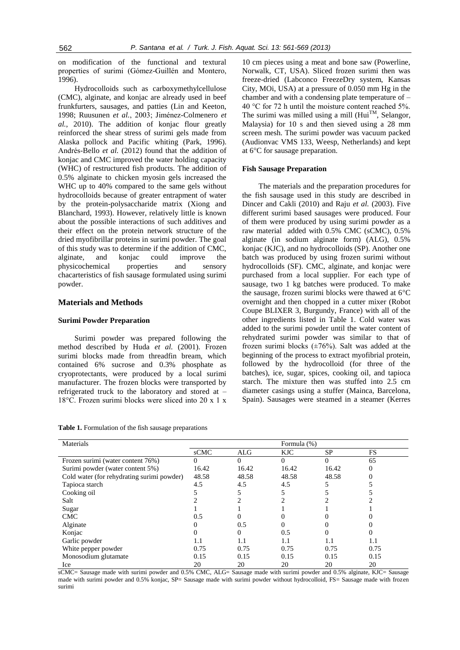on modification of the functional and textural properties of surimi (Gómez-Guillén and Montero, 1996).

Hydrocolloids such as carboxymethylcellulose (CMC), alginate, and konjac are already used in beef frunkfurters, sausages, and patties (Lin and Keeton, 1998; Ruusunen *et al.*, 2003; Jiménez-Colmenero *et al.*, 2010). The addition of konjac flour greatly reinforced the shear stress of surimi gels made from Alaska pollock and Pacific whiting (Park, 1996). Andrés-Bello *et al.* (2012) found that the addition of konjac and CMC improved the water holding capacity (WHC) of restructured fish products. The addition of 0.5% alginate to chicken myosin gels increased the WHC up to 40% compared to the same gels without hydrocolloids because of greater entrapment of water by the protein-polysaccharide matrix (Xiong and Blanchard, 1993). However, relatively little is known about the possible interactions of such additives and their effect on the protein network structure of the dried myofibrillar proteins in surimi powder. The goal of this study was to determine if the addition of CMC, alginate, and konjac could improve the physicochemical properties and sensory chacarteristics of fish sausage formulated using surimi powder.

# **Materials and Methods**

#### **Surimi Powder Preparation**

Surimi powder was prepared following the method described by Huda *et al.* (2001). Frozen surimi blocks made from threadfin bream, which contained 6% sucrose and 0.3% phosphate as cryoprotectants, were produced by a local surimi manufacturer. The frozen blocks were transported by refrigerated truck to the laboratory and stored at – 18°C. Frozen surimi blocks were sliced into 20 x 1 x

**Table 1.** Formulation of the fish sausage preparations

10 cm pieces using a meat and bone saw (Powerline, Norwalk, CT, USA). Sliced frozen surimi then was freeze-dried (Labconco FreezeDry system, Kansas City, MOi, USA) at a pressure of 0.050 mm Hg in the chamber and with a condensing plate temperature of – 40 °C for 72 h until the moisture content reached 5%. The surimi was milled using a mill  $(Hui^{TM},$  Selangor, Malaysia) for 10 s and then sieved using a 28 mm screen mesh. The surimi powder was vacuum packed (Audionvac VMS 133, Weesp, Netherlands) and kept at 6°C for sausage preparation.

#### **Fish Sausage Preparation**

The materials and the preparation procedures for the fish sausage used in this study are described in Dincer and Cakli (2010) and Raju *et al.* (2003). Five different surimi based sausages were produced. Four of them were produced by using surimi powder as a raw material added with 0.5% CMC (sCMC), 0.5% alginate (in sodium alginate form) (ALG), 0.5% konjac (KJC), and no hydrocolloids (SP). Another one batch was produced by using frozen surimi without hydrocolloids (SF). CMC, alginate, and konjac were purchased from a local supplier. For each type of sausage, two 1 kg batches were produced. To make the sausage, frozen surimi blocks were thawed at 6°C overnight and then chopped in a cutter mixer (Robot Coupe BLIXER 3, Burgundy, France) with all of the other ingredients listed in Table 1. Cold water was added to the surimi powder until the water content of rehydrated surimi powder was similar to that of frozen surimi blocks  $(\pm 76\%)$ . Salt was added at the beginning of the process to extract myofibrial protein, followed by the hydrocolloid (for three of the batches), ice, sugar, spices, cooking oil, and tapioca starch. The mixture then was stuffed into 2.5 cm diameter casings using a stuffer (Mainca, Barcelona, Spain). Sausages were steamed in a steamer (Kerres

| Materials                                  |       |       | Formula (%) |           |      |
|--------------------------------------------|-------|-------|-------------|-----------|------|
|                                            | sCMC  | ALG   | KJC.        | <b>SP</b> | FS   |
| Frozen surimi (water content 76%)          | 0     | 0     | $\Omega$    |           | 65   |
| Surimi powder (water content 5%)           | 16.42 | 16.42 | 16.42       | 16.42     |      |
| Cold water (for rehydrating surimi powder) | 48.58 | 48.58 | 48.58       | 48.58     |      |
| Tapioca starch                             | 4.5   | 4.5   | 4.5         |           |      |
| Cooking oil                                |       |       |             |           |      |
| Salt                                       |       |       |             |           |      |
| Sugar                                      |       |       |             |           |      |
| <b>CMC</b>                                 | 0.5   |       |             |           |      |
| Alginate                                   |       | 0.5   |             |           |      |
| Konjac                                     |       | 0     | 0.5         |           |      |
| Garlic powder                              | 1.1   | 1.1   | 1.1         | 1.1       | 1.1  |
| White pepper powder                        | 0.75  | 0.75  | 0.75        | 0.75      | 0.75 |
| Monosodium glutamate                       | 0.15  | 0.15  | 0.15        | 0.15      | 0.15 |
| Ice                                        | 20    | 20    | 20          | 20        | 20   |

sCMC= Sausage made with surimi powder and 0.5% CMC, ALG= Sausage made with surimi powder and 0.5% alginate, KJC= Sausage made with surimi powder and 0.5% konjac, SP= Sausage made with surimi powder without hydrocolloid, FS= Sausage made with frozen surimi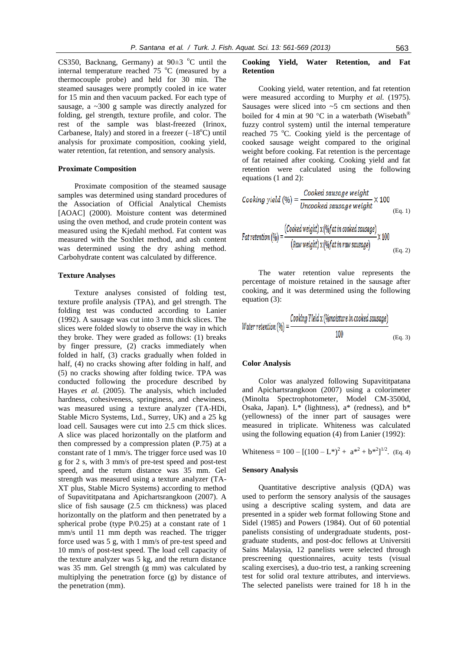CS350, Backnang, Germany) at  $90±3$  °C until the internal temperature reached  $75 \degree C$  (measured by a thermocouple probe) and held for 30 min. The steamed sausages were promptly cooled in ice water for 15 min and then vacuum packed. For each type of sausage, a  $\sim$ 300 g sample was directly analyzed for folding, gel strength, texture profile, and color. The rest of the sample was blast-freezed (Irinox, Carbanese, Italy) and stored in a freezer  $(-18^{\circ}C)$  until analysis for proximate composition, cooking yield, water retention, fat retention, and sensory analysis.

#### **Proximate Composition**

Proximate composition of the steamed sausage samples was determined using standard procedures of the Association of Official Analytical Chemists [AOAC] (2000). Moisture content was determined using the oven method, and crude protein content was measured using the Kjedahl method. Fat content was measured with the Soxhlet method, and ash content was determined using the dry ashing method. Carbohydrate content was calculated by difference.

#### **Texture Analyses**

Texture analyses consisted of folding test, texture profile analysis (TPA), and gel strength. The folding test was conducted according to Lanier (1992). A sausage was cut into 3 mm thick slices. The slices were folded slowly to observe the way in which they broke. They were graded as follows: (1) breaks by finger pressure, (2) cracks immediately when folded in half, (3) cracks gradually when folded in half, (4) no cracks showing after folding in half, and (5) no cracks showing after folding twice. TPA was conducted following the procedure described by Hayes *et al.* (2005). The analysis, which included hardness, cohesiveness, springiness, and chewiness, was measured using a texture analyzer (TA-HDi, Stable Micro Systems, Ltd., Surrey, UK) and a 25 kg load cell. Sausages were cut into 2.5 cm thick slices. A slice was placed horizontally on the platform and then compressed by a compression platen (P.75) at a constant rate of 1 mm/s. The trigger force used was 10 g for 2 s, with 3 mm/s of pre-test speed and post-test speed, and the return distance was 35 mm. Gel strength was measured using a texture analyzer (TA-XT plus, Stable Micro Systems) according to method of Supavititpatana and Apichartsrangkoon (2007). A slice of fish sausage (2.5 cm thickness) was placed horizontally on the platform and then penetrated by a spherical probe (type P/0.25) at a constant rate of 1 mm/s until 11 mm depth was reached. The trigger force used was 5 g, with 1 mm/s of pre-test speed and 10 mm/s of post-test speed. The load cell capacity of the texture analyzer was 5 kg, and the return distance was 35 mm. Gel strength (g mm) was calculated by multiplying the penetration force (g) by distance of the penetration (mm).

# **Cooking Yield, Water Retention, and Fat Retention**

Cooking yield, water retention, and fat retention were measured according to Murphy *et al.* (1975). Sausages were sliced into  $\sim$  5 cm sections and then boiled for 4 min at 90 °C in a waterbath (Wisebath® fuzzy control system) until the internal temperature reached 75 °C. Cooking yield is the percentage of cooked sausage weight compared to the original weight before cooking. Fat retention is the percentage of fat retained after cooking. Cooking yield and fat retention were calculated using the following equations (1 and 2):

\n
$$
Cooking yield (96) = \frac{Cooked \, sa usage \, weight}{Uncooked \, sa usage \, weight} \times 100
$$
\n
$$
F at \, retention (96) = \frac{(Cooked \, weight) \, x \, (96 \, fat \, in \, cobed \, sa usage)}{(Raw \, weight) \, x \, (96 \, fat \, in \, raw \, sa usage)} \times 100
$$
\n
$$
(Eq. 2)
$$
\n

The water retention value represents the percentage of moisture retained in the sausage after cooking, and it was determined using the following equation (3):

Water retention (
$$
\%
$$
) =  $\frac{Cooking Yield \times (\%moisture in cooled sausage)}{100}$  (Eq. 3)

#### **Color Analysis**

Color was analyzed following Supavititpatana and Apichartsrangkoon (2007) using a colorimeter (Minolta Spectrophotometer, Model CM-3500d, Osaka, Japan). L\* (lightness), a\* (redness), and b\* (yellowness) of the inner part of sausages were measured in triplicate. Whiteness was calculated using the following equation (4) from Lanier (1992):

Whiteness = 100 –  $[(100 - L^*)^2 + a^{*2} + b^{*2}]^{1/2}$ . (Eq. 4)

#### **Sensory Analysis**

Quantitative descriptive analysis (QDA) was used to perform the sensory analysis of the sausages using a descriptive scaling system, and data are presented in a spider web format following Stone and Sidel (1985) and Powers (1984). Out of 60 potential panelists consisting of undergraduate students, postgraduate students, and post-doc fellows at Universiti Sains Malaysia, 12 panelists were selected through prescreening questionnaires, acuity tests (visual scaling exercises), a duo-trio test, a ranking screening test for solid oral texture attributes, and interviews. The selected panelists were trained for 18 h in the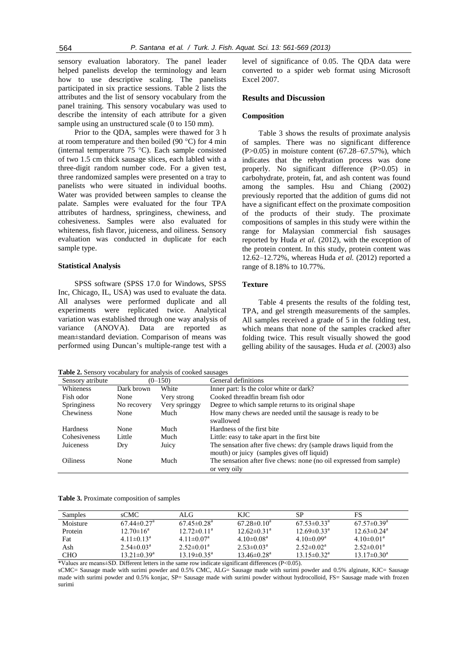sensory evaluation laboratory. The panel leader helped panelists develop the terminology and learn how to use descriptive scaling. The panelists participated in six practice sessions. Table 2 lists the attributes and the list of sensory vocabulary from the panel training. This sensory vocabulary was used to describe the intensity of each attribute for a given sample using an unstructured scale (0 to 150 mm).

Prior to the QDA, samples were thawed for 3 h at room temperature and then boiled (90 °C) for 4 min (internal temperature 75 °C). Each sample consisted of two 1.5 cm thick sausage slices, each labled with a three-digit random number code. For a given test, three randomized samples were presented on a tray to panelists who were situated in individual booths. Water was provided between samples to cleanse the palate. Samples were evaluated for the four TPA attributes of hardness, springiness, chewiness, and cohesiveness. Samples were also evaluated for whiteness, fish flavor, juiceness, and oiliness. Sensory evaluation was conducted in duplicate for each sample type.

#### **Statistical Analysis**

SPSS software (SPSS 17.0 for Windows, SPSS Inc, Chicago, IL, USA) was used to evaluate the data. All analyses were performed duplicate and all experiments were replicated twice. Analytical variation was established through one way analysis of variance (ANOVA). Data are reported as mean±standard deviation. Comparison of means was performed using Duncan's multiple-range test with a

**Table 2.** Sensory vocabulary for analysis of cooked sausages

level of significance of 0.05. The QDA data were converted to a spider web format using Microsoft Excel 2007.

# **Results and Discussion**

#### **Composition**

Table 3 shows the results of proximate analysis of samples. There was no significant difference (P>0.05) in moisture content (67.28–67.57%), which indicates that the rehydration process was done properly. No significant difference (P>0.05) in carbohydrate, protein, fat, and ash content was found among the samples. Hsu and Chiang (2002) previously reported that the addition of gums did not have a significant effect on the proximate composition of the products of their study. The proximate compositions of samples in this study were within the range for Malaysian commercial fish sausages reported by Huda *et al.* (2012), with the exception of the protein content. In this study, protein content was 12.62–12.72%, whereas Huda *et al.* (2012) reported a range of 8.18% to 10.77%.

# **Texture**

Table 4 presents the results of the folding test, TPA, and gel strength measurements of the samples. All samples received a grade of 5 in the folding test, which means that none of the samples cracked after folding twice. This result visually showed the good gelling ability of the sausages. Huda *et al.* (2003) also

| Sensory atribute |             | $(0-150)$     | General definitions                                                 |
|------------------|-------------|---------------|---------------------------------------------------------------------|
| Whiteness        | Dark brown  | White         | Inner part: Is the color white or dark?                             |
| Fish odor        | None        | Very strong   | Cooked threadfin bream fish odor                                    |
| Springiness      | No recovery | Very springgy | Degree to which sample returns to its original shape                |
| Chewiness        | None        | Much          | How many chews are needed until the sausage is ready to be          |
|                  |             |               | swallowed                                                           |
| <b>Hardness</b>  | None        | Much          | Hardness of the first bite                                          |
| Cohesiveness     | Little      | Much          | Little: easy to take apart in the first bite                        |
| Juiceness        | Dry         | Juicy         | The sensation after five chews: dry (sample draws liquid from the   |
|                  |             |               | mouth) or juicy (samples gives off liquid)                          |
| <b>Oiliness</b>  | None        | Much          | The sensation after five chews: none (no oil expressed from sample) |
|                  |             |               | or very oily                                                        |

**Table 3.** Proximate composition of samples

| <b>Samples</b> | sCMC.                         | ALG.                          | KJC.                          | SP                            | FS                            |
|----------------|-------------------------------|-------------------------------|-------------------------------|-------------------------------|-------------------------------|
| Moisture       | $67.44 \pm 0.27$ <sup>a</sup> | $67.45 \pm 0.28$ <sup>a</sup> | $67.28\pm0.10^a$              | $67.53 \pm 0.33$ <sup>a</sup> | $67.57 \pm 0.39^{\rm a}$      |
| Protein        | $12.70 \pm 16^{\circ}$        | $12.72 \pm 0.11^a$            | $12.62 \pm 0.31$ <sup>a</sup> | $12.69 \pm 0.33$ <sup>a</sup> | $12.63 \pm 0.24$ <sup>a</sup> |
| Fat            | $4.11 \pm 0.13^a$             | $4.11 \pm 0.07$ <sup>a</sup>  | $4.10 \pm 0.08^a$             | $4.10 \pm 0.09^a$             | $4.10 \pm 0.01^a$             |
| Ash            | $2.54 \pm 0.03^{\text{a}}$    | $2.52 \pm 0.01^a$             | $2.53 \pm 0.03^a$             | $2.52 \pm 0.02^a$             | $2.52 \pm 0.01^a$             |
| CHO.           | $13.21 \pm 0.39^{\rm a}$      | $13.19 \pm 0.35^{\text{a}}$   | $13.46 \pm 0.28$ <sup>a</sup> | $13.15 \pm 0.32^{\text{a}}$   | $13.17\pm0.30^{\circ}$        |

\*Values are means±SD. Different letters in the same row indicate significant differences (P<0.05).

sCMC= Sausage made with surimi powder and 0.5% CMC, ALG= Sausage made with surimi powder and 0.5% alginate, KJC= Sausage made with surimi powder and 0.5% konjac, SP= Sausage made with surimi powder without hydrocolloid, FS= Sausage made with frozen surimi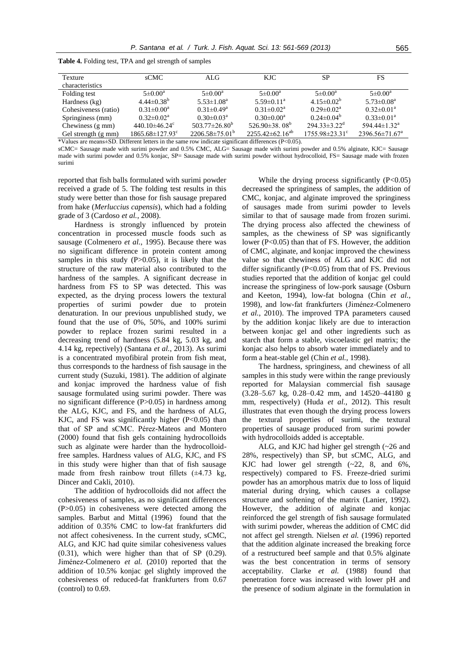| <b>Texture</b>       | sCMC                              | ALG.                         | KJC.                            | <b>SP</b>                      | FS                             |
|----------------------|-----------------------------------|------------------------------|---------------------------------|--------------------------------|--------------------------------|
| characteristics      |                                   |                              |                                 |                                |                                |
| Folding test         | $5 \pm 0.00^a$                    | $5 \pm 0.00^a$               | $5 \pm 0.00^a$                  | $5 \pm 0.00^{\circ}$           | $5 \pm 0.00^a$                 |
| Hardness (kg)        | $4.44\pm0.38^{b}$                 | $5.53 \pm 1.08$ <sup>a</sup> | $5.59 \pm 0.11^a$               | $4.15 \pm 0.02^b$              | $5.73 \pm 0.08^a$              |
| Cohesiveness (ratio) | $0.31 \pm 0.00^a$                 | $0.31 \pm 0.49^a$            | $0.31 \pm 0.02^a$               | $0.29 \pm 0.02^a$              | $0.32 \pm 0.01^a$              |
| Springiness (mm)     | $0.32 \pm 0.02^a$                 | $0.30 \pm 0.03^{\text{a}}$   | $0.30 \pm 0.00^a$               | $0.24 \pm 0.04^b$              | $0.33 \pm 0.01^a$              |
| Chewiness (g mm)     | 440.10 $\pm$ 46.24 $\rm{c}$       | $503.77 \pm 26.80^b$         | 526.90 $\pm$ 38.08 <sup>b</sup> | $294.33 \pm 3.22^{\mathrm{d}}$ | 594.44 $\pm$ 1.32 <sup>a</sup> |
| Gel strength (g mm)  | $1865.68 \pm 127.93$ <sup>c</sup> | $2206.58\pm75.01^{\circ}$    | $2255.42\pm62.16^{ab}$          | $1755.98\pm23.31^{\circ}$      | $2396.56\pm71.67^{\circ}$      |

**Table 4.** Folding test, TPA and gel strength of samples

\*Values are means±SD. Different letters in the same row indicate significant differences (P<0.05).

sCMC= Sausage made with surimi powder and 0.5% CMC, ALG= Sausage made with surimi powder and 0.5% alginate, KJC= Sausage made with surimi powder and 0.5% konjac, SP= Sausage made with surimi powder without hydrocolloid, FS= Sausage made with frozen surimi

reported that fish balls formulated with surimi powder received a grade of 5. The folding test results in this study were better than those for fish sausage prepared from hake (*Merluccius capensis*), which had a folding grade of 3 (Cardoso *et al.*, 2008).

Hardness is strongly influenced by protein concentration in processed muscle foods such as sausage (Colmenero *et al.*, 1995). Because there was no significant difference in protein content among samples in this study  $(P>0.05)$ , it is likely that the structure of the raw material also contributed to the hardness of the samples. A significant decrease in hardness from FS to SP was detected. This was expected, as the drying process lowers the textural properties of surimi powder due to protein denaturation. In our previous unpublished study, we found that the use of 0%, 50%, and 100% surimi powder to replace frozen surimi resulted in a decreasing trend of hardness (5.84 kg, 5.03 kg, and 4.14 kg, repectively) (Santana *et al.*, 2013). As surimi is a concentrated myofibiral protein from fish meat, thus corresponds to the hardness of fish sausage in the current study (Suzuki, 1981). The addition of alginate and konjac improved the hardness value of fish sausage formulated using surimi powder. There was no significant difference (P>0.05) in hardness among the ALG, KJC, and FS, and the hardness of ALG, KJC, and FS was significantly higher  $(P<0.05)$  than that of SP and sCMC. Pérez-Mateos and Montero (2000) found that fish gels containing hydrocolloids such as alginate were harder than the hydrocolloidfree samples. Hardness values of ALG, KJC, and FS in this study were higher than that of fish sausage made from fresh rainbow trout fillets  $(\pm 4.73 \text{ kg})$ , Dincer and Cakli, 2010).

The addition of hydrocolloids did not affect the cohesiveness of samples, as no significant differences (P>0.05) in cohesiveness were detected among the samples. Barbut and Mittal (1996) found that the addition of 0.35% CMC to low-fat frankfurters did not affect cohesiveness. In the current study, sCMC, ALG, and KJC had quite similar cohesiveness values (0.31), which were higher than that of SP (0.29). Jiménez-Colmenero *et al.* (2010) reported that the addition of 10.5% konjac gel slightly improved the cohesiveness of reduced-fat frankfurters from 0.67 (control) to 0.69.

While the drying process significantly (P<0.05) decreased the springiness of samples, the addition of CMC, konjac, and alginate improved the springiness of sausages made from surimi powder to levels similar to that of sausage made from frozen surimi. The drying process also affected the chewiness of samples, as the chewiness of SP was significantly lower (P<0.05) than that of FS. However, the addition of CMC, alginate, and konjac improved the chewiness value so that chewiness of ALG and KJC did not differ significantly (P<0.05) from that of FS. Previous studies reported that the addition of konjac gel could increase the springiness of low-pork sausage (Osburn and Keeton, 1994), low-fat bologna (Chin *et al.*, 1998), and low-fat frankfurters (Jiménez-Colmenero *et al.*, 2010). The improved TPA parameters caused by the addition konjac likely are due to interaction between konjac gel and other ingredients such as starch that form a stable, viscoelastic gel matrix; the konjac also helps to absorb water immediately and to form a heat-stable gel (Chin *et al.*, 1998).

The hardness, springiness, and chewiness of all samples in this study were within the range previously reported for Malaysian commercial fish sausage (3.28–5.67 kg, 0.28–0.42 mm, and 14520–44180 g mm, respectively) (Huda *et al.*, 2012). This result illustrates that even though the drying process lowers the textural properties of surimi, the textural properties of sausage produced from surimi powder with hydrocolloids added is acceptable.

ALG, and KJC had higher gel strength (~26 and 28%, respectively) than SP, but sCMC, ALG, and KJC had lower gel strength (~22, 8, and 6%, respectively) compared to FS. Freeze-dried surimi powder has an amorphous matrix due to loss of liquid material during drying, which causes a collapse structure and softening of the matrix (Lanier, 1992). However, the addition of alginate and konjac reinforced the gel strength of fish sausage formulated with surimi powder, whereas the addition of CMC did not affect gel strength. Nielsen *et al.* (1996) reported that the addition alginate increased the breaking force of a restructured beef sample and that 0.5% alginate was the best concentration in terms of sensory acceptability. Clarke *et al.* (1988) found that penetration force was increased with lower pH and the presence of sodium alginate in the formulation in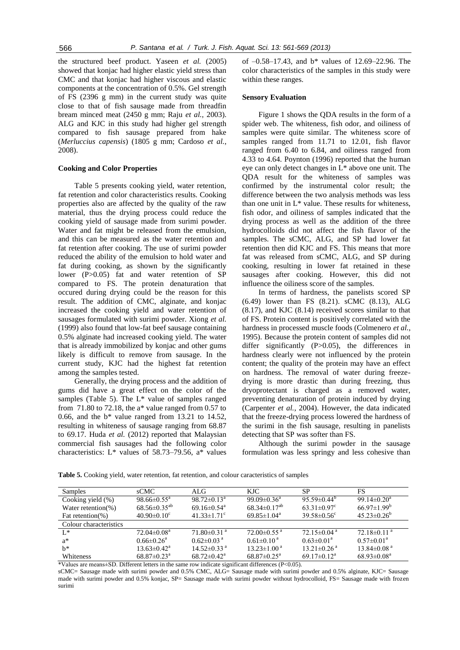the structured beef product. Yaseen *et al.* (2005) showed that konjac had higher elastic yield stress than CMC and that konjac had higher viscous and elastic components at the concentration of 0.5%. Gel strength of FS (2396 g mm) in the current study was quite close to that of fish sausage made from threadfin bream minced meat (2450 g mm; Raju *et al.*, 2003). ALG and KJC in this study had higher gel strength compared to fish sausage prepared from hake (*Merluccius capensis*) (1805 g mm; Cardoso *et al.*, 2008).

#### **Cooking and Color Properties**

Table 5 presents cooking yield, water retention, fat retention and color characteristics results. Cooking properties also are affected by the quality of the raw material, thus the drying process could reduce the cooking yield of sausage made from surimi powder. Water and fat might be released from the emulsion, and this can be measured as the water retention and fat retention after cooking. The use of surimi powder reduced the ability of the emulsion to hold water and fat during cooking, as shown by the significantly lower (P>0.05) fat and water retention of SP compared to FS. The protein denaturation that occured during drying could be the reason for this result. The addition of CMC, alginate, and konjac increased the cooking yield and water retention of sausages formulated with surimi powder. Xiong *et al.* (1999) also found that low-fat beef sausage containing 0.5% alginate had increased cooking yield. The water that is already immobilized by konjac and other gums likely is difficult to remove from sausage. In the current study, KJC had the highest fat retention among the samples tested.

Generally, the drying process and the addition of gums did have a great effect on the color of the samples (Table 5). The L\* value of samples ranged from 71.80 to 72.18, the a\* value ranged from 0.57 to 0.66, and the  $b^*$  value ranged from 13.21 to 14.52, resulting in whiteness of sausage ranging from 68.87 to 69.17. Huda *et al.* (2012) reported that Malaysian commercial fish sausages had the following color characteristics:  $L^*$  values of 58.73–79.56, a\* values

of –0.58–17.43, and b\* values of 12.69–22.96. The color characteristics of the samples in this study were within these ranges.

#### **Sensory Evaluation**

Figure 1 shows the QDA results in the form of a spider web. The whiteness, fish odor, and oiliness of samples were quite similar. The whiteness score of samples ranged from 11.71 to 12.01, fish flavor ranged from 6.40 to 6.84, and oiliness ranged from 4.33 to 4.64. Poynton (1996) reported that the human eye can only detect changes in L\* above one unit. The QDA result for the whiteness of samples was confirmed by the instrumental color result; the difference between the two analysis methods was less than one unit in  $L^*$  value. These results for whiteness, fish odor, and oiliness of samples indicated that the drying process as well as the addition of the three hydrocolloids did not affect the fish flavor of the samples. The sCMC, ALG, and SP had lower fat retention then did KJC and FS. This means that more fat was released from sCMC, ALG, and SP during cooking, resulting in lower fat retained in these sausages after cooking. However, this did not influence the oiliness score of the samples.

In terms of hardness, the panelists scored SP (6.49) lower than FS (8.21). sCMC (8.13), ALG (8.17), and KJC (8.14) received scores similar to that of FS. Protein content is positively correlated with the hardness in processed muscle foods (Colmenero *et al.*, 1995). Because the protein content of samples did not differ significantly (P>0.05), the differences in hardness clearly were not influenced by the protein content; the quality of the protein may have an effect on hardness. The removal of water during freezedrying is more drastic than during freezing, thus dryoprotectant is charged as a removed water, preventing denaturation of protein induced by drying (Carpenter *et al.*, 2004). However, the data indicated that the freeze-drying process lowered the hardness of the surimi in the fish sausage, resulting in panelists detecting that SP was softer than FS.

Although the surimi powder in the sausage formulation was less springy and less cohesive than

| Samples                | <b>sCMC</b>                   | ALG                           | <b>KJC</b>                    | SP                            | FS                            |
|------------------------|-------------------------------|-------------------------------|-------------------------------|-------------------------------|-------------------------------|
| Cooking yield (%)      | $98.66 \pm 0.55^{\circ}$      | $98.72 \pm 0.13^a$            | 99.09 $\pm$ 0.36 <sup>a</sup> | $95.59\pm0.44^b$              | $99.14 \pm 0.20^a$            |
| Water retention(%)     | $68.56 \pm 0.35^{ab}$         | $69.16\pm0.54$ <sup>a</sup>   | $68.34\pm0.17^{ab}$           | $63.31 \pm 0.97$ <sup>c</sup> | $66.97 \pm 1.99^b$            |
| Fat retention(%)       | $40.90\pm0.10^{\circ}$        | 41.33 $\pm$ 1.71 <sup>c</sup> | $69.85 \pm 1.04^{\circ}$      | $39.58 \pm 0.56$ °            | $45.23 \pm 0.26^{\circ}$      |
| Colour characteristics |                               |                               |                               |                               |                               |
| $\mathbf{I}^*$         | $72.04 \pm 0.08$ <sup>a</sup> | $71.80\pm0.31$ <sup>a</sup>   | $72.00 \pm 0.55$ <sup>a</sup> | $72.15 \pm 0.04$ <sup>a</sup> | $72.18\pm0.11$ <sup>a</sup>   |
| $a^*$                  | $0.66 \pm 0.26^a$             | $0.62 \pm 0.03$ <sup>a</sup>  | $0.61 \pm 0.10^{\text{a}}$    | $0.63 \pm 0.01^a$             | $0.57 \pm 0.01^a$             |
| $h^*$                  | $13.63 \pm 0.42^{\text{a}}$   | $14.52\pm0.33$ <sup>a</sup>   | $13.23 \pm 1.00^{\text{a}}$   | $13.21 \pm 0.26$ <sup>a</sup> | $13.84 \pm 0.08$ <sup>a</sup> |
| Whiteness              | $68.87 \pm 0.23$ <sup>a</sup> | $68.72 \pm 0.42^{\mathrm{a}}$ | $68.87 \pm 0.25^{\text{a}}$   | $69.17 \pm 0.12^a$            | $68.93 \pm 0.08^a$            |

**Table 5.** Cooking yield, water retention, fat retention, and colour caracteristics of samples

\*Values are means±SD. Different letters in the same row indicate significant differences (P<0.05).

sCMC= Sausage made with surimi powder and 0.5% CMC, ALG= Sausage made with surimi powder and 0.5% alginate, KJC= Sausage made with surimi powder and 0.5% konjac, SP= Sausage made with surimi powder without hydrocolloid, FS= Sausage made with frozen surimi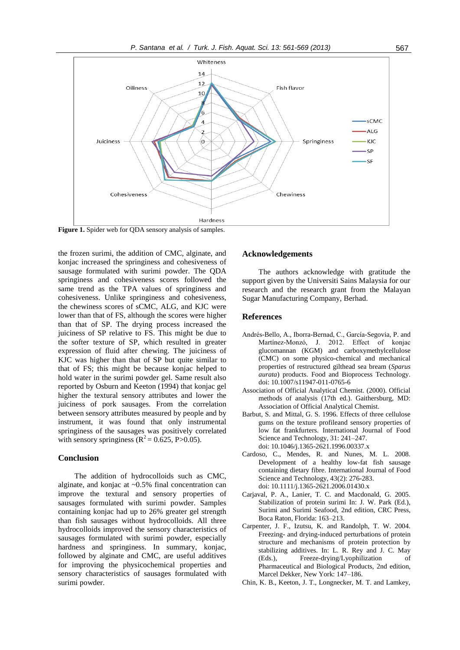

**Figure 1.** Spider web for QDA sensory analysis of samples.

the frozen surimi, the addition of CMC, alginate, and konjac increased the springiness and cohesiveness of sausage formulated with surimi powder. The QDA springiness and cohesiveness scores followed the same trend as the TPA values of springiness and cohesiveness. Unlike springiness and cohesiveness, the chewiness scores of sCMC, ALG, and KJC were lower than that of FS, although the scores were higher than that of SP. The drying process increased the juiciness of SP relative to FS. This might be due to the softer texture of SP, which resulted in greater expression of fluid after chewing. The juiciness of KJC was higher than that of SP but quite similar to that of FS; this might be because konjac helped to hold water in the surimi powder gel. Same result also reported by Osburn and Keeton (1994) that konjac gel higher the textural sensory attributes and lower the juiciness of pork sausages. From the correlation between sensory attributes measured by people and by instrument, it was found that only instrumental springiness of the sausages was positively correlated with sensory springiness ( $\mathbb{R}^2$  = 0.625, P>0.05).

# **Conclusion**

The addition of hydrocolloids such as CMC, alginate, and konjac at ~0.5% final concentration can improve the textural and sensory properties of sausages formulated with surimi powder. Samples containing konjac had up to 26% greater gel strength than fish sausages without hydrocolloids. All three hydrocolloids improved the sensory characteristics of sausages formulated with surimi powder, especially hardness and springiness. In summary, konjac, followed by alginate and CMC, are useful additives for improving the physicochemical properties and sensory characteristics of sausages formulated with surimi powder.

## **Acknowledgements**

The authors acknowledge with gratitude the support given by the Universiti Sains Malaysia for our research and the research grant from the Malayan Sugar Manufacturing Company, Berhad.

# **References**

- Andrés-Bello, A., Iborra-Bernad, C., García-Segovia, P. and Martínez-Monzó, J. 2012. Effect of konjac glucomannan (KGM) and carboxymethylcellulose (CMC) on some physico-chemical and mechanical properties of restructured gilthead sea bream (*Sparus aurata*) products. Food and Bioprocess Technology. doi: 10.1007/s11947-011-0765-6
- Association of Official Analytical Chemist. (2000). Official methods of analysis (17th ed.). Gaithersburg, MD: Association of Official Analytical Chemist.
- Barbut, S. and Mittal, G. S. 1996. Effects of three cellulose gums on the texture profileand sensory properties of low fat frankfurters. International Journal of Food Science and Technology, 31: 241–247. doi: 10.1046/j.1365-2621.1996.00337.x
- Cardoso, C., Mendes, R. and Nunes, M. L. 2008. Development of a healthy low-fat fish sausage containing dietary fibre. International Journal of Food Science and Technology, 43(2): 276-283. doi: 10.1111/j.1365-2621.2006.01430.x
- Carjaval, P. A., Lanier, T. C. and Macdonald, G. 2005. Stabilization of protein surimi In: J. W. Park (Ed.), Surimi and Surimi Seafood, 2nd edition, CRC Press, Boca Raton, Florida: 163–213.
- Carpenter, J. F., Izutsu, K. and Randolph, T. W. 2004. Freezing- and drying-induced perturbations of protein structure and mechanisms of protein protection by stabilizing additives. In: L. R. Rey and J. C. May (Eds.), Freeze-drying/Lyophilization of Pharmaceutical and Biological Products, 2nd edition, Marcel Dekker, New York: 147–186.
- Chin, K. B., Keeton, J. T., Longnecker, M. T. and Lamkey,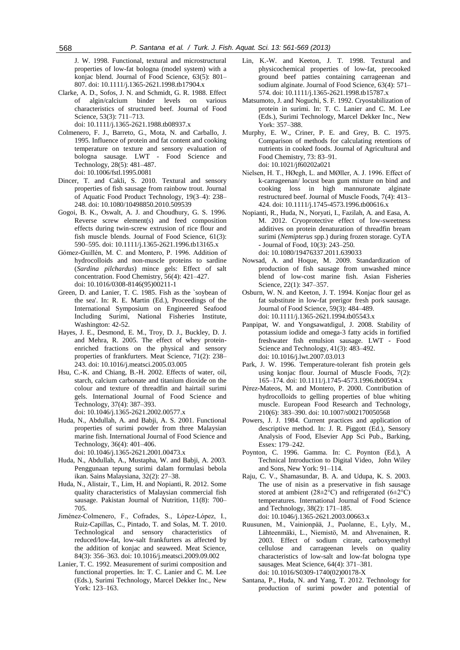J. W. 1998. Functional, textural and microstructural properties of low-fat bologna (model system) with a konjac blend. Journal of Food Science, 63(5): 801– 807. doi: 10.1111/j.1365-2621.1998.tb17904.x

- Clarke, A. D., Sofos, J. N. and Schmidt, G. R. 1988. Effect of algin/calcium binder levels on various characteristics of structured beef. Journal of Food Science, 53(3): 711–713. doi: 10.1111/j.1365-2621.1988.tb08937.x
- Colmenero, F. J., Barreto, G., Mota, N. and Carballo, J. 1995. Influence of protein and fat content and cooking temperature on texture and sensory evaluation of bologna sausage. LWT - Food Science and Technology, 28(5): 481–487. doi: 10.1006/fstl.1995.0081
- Dincer, T. and Cakli, S. 2010. Textural and sensory properties of fish sausage from rainbow trout. Journal of Aquatic Food Product Technology, 19(3–4): 238– 248. doi: 10.1080/10498850.2010.509539
- Gogoi, B. K., Oswalt, A. J. and Choudhury, G. S. 1996. Reverse screw element(s) and feed composition effects during twin-screw extrusion of rice flour and fish muscle blends. Journal of Food Science, 61(3): 590–595. doi: 10.1111/j.1365-2621.1996.tb13165.x
- Gómez-Guillén, M. C. and Montero, P. 1996. Addition of hydrocolloids and non-muscle proteins to sardine (*Sardina pilchardus*) mince gels: Effect of salt concentration. Food Chemistry, 56(4): 421–427. doi: 10.1016/0308-8146(95)00211-1
- Green, D. and Lanier, T. C. 1985. Fish as the `soybean of the sea'. In: R. E. Martin (Ed.), Proceedings of the International Symposium on Engineered Seafood Including Surimi, National Fisheries Institute, Washington: 42-52.
- Hayes, J. E., Desmond, E. M., Troy, D. J., Buckley, D. J. and Mehra, R. 2005. The effect of whey proteinenriched fractions on the physical and sensory properties of frankfurters. Meat Science, 71(2): 238– 243. doi: 10.1016/j.meatsci.2005.03.005
- Hsu, C.-K. and Chiang, B.-H. 2002. Effects of water, oil, starch, calcium carbonate and titanium dioxide on the colour and texture of threadfin and hairtail surimi gels. International Journal of Food Science and Technology, 37(4): 387–393. doi: 10.1046/j.1365-2621.2002.00577.x
- Huda, N., Abdullah, A. and Babji, A. S. 2001. Functional properties of surimi powder from three Malaysian marine fish. International Journal of Food Science and Technology, 36(4): 401–406. doi: 10.1046/j.1365-2621.2001.00473.x
- Huda, N., Abdullah, A., Mustapha, W. and Babji, A. 2003.
- Penggunaan tepung surimi dalam formulasi bebola ikan. Sains Malaysiana, 32(2): 27–38. Huda, N., Alistair, T., Lim, H. and Nopianti, R. 2012. Some
- quality characteristics of Malaysian commercial fish sausage. Pakistan Journal of Nutrition, 11(8): 700– 705.
- Jiménez-Colmenero, F., Cofrades, S., López-López, I., Ruiz-Capillas, C., Pintado, T. and Solas, M. T. 2010. Technological and sensory characteristics reduced/low-fat, low-salt frankfurters as affected by the addition of konjac and seaweed. Meat Science, 84(3): 356–363. doi: 10.1016/j.meatsci.2009.09.002
- Lanier, T. C. 1992. Measurement of surimi composition and functional properties. In: T. C. Lanier and C. M. Lee (Eds.), Surimi Technology, Marcel Dekker Inc., New York: 123–163.
- Lin, K.-W. and Keeton, J. T. 1998. Textural and physicochemical properties of low‐fat, precooked ground beef patties containing carrageenan and sodium alginate. Journal of Food Science, 63(4): 571– 574. doi: 10.1111/j.1365-2621.1998.tb15787.x
- Matsumoto, J. and Noguchi, S. F. 1992. Cryostabilization of protein in surimi. In: T. C. Lanier and C. M. Lee (Eds.), Surimi Technology, Marcel Dekker Inc., New York: 357–388.
- Murphy, E. W., Criner, P. E. and Grey, B. C. 1975. Comparison of methods for calculating retentions of nutrients in cooked foods. Journal of Agricultural and Food Chemistry, 73: 83–91. doi: 10.1021/jf60202a021
- Nielsen, H. T., HØegh, L. and MØller, A. J. 1996. Effect of k-carrageenan/ locust bean gum mixture on bind and cooking loss in high mannuronate alginate restructured beef. Journal of Muscle Foods, 7(4): 413– 424. doi: 10.1111/j.1745-4573.1996.tb00616.x
- Nopianti, R., Huda, N., Noryati, I., Fazilah, A. and Easa, A. M. 2012. Cryoprotective effect of low-sweetness additives on protein denaturation of threadfin bream surimi (*Nemipterus* spp.) during frozen storage. CyTA - Journal of Food, 10(3): 243–250. doi: 10.1080/19476337.2011.639033
- Nowsad, A. and Hoque, M. 2009. Standardization of production of fish sausage from unwashed mince blend of low-cost marine fish. Asian Fisheries Science, 22(1): 347–357.
- Osburn, W. N. and Keeton, J. T. 1994. Konjac flour gel as fat substitute in low-fat prerigor fresh pork sausage. Journal of Food Science, 59(3): 484–489. doi: 10.1111/j.1365-2621.1994.tb05543.x
- Panpipat, W. and Yongsawatdigul, J. 2008. Stability of potassium iodide and omega-3 fatty acids in fortified freshwater fish emulsion sausage. LWT - Food Science and Technology, 41(3): 483–492. doi: 10.1016/j.lwt.2007.03.013
- Park, J. W. 1996. Temperature-tolerant fish protein gels using konjac flour. Journal of Muscle Foods,  $7(2)$ : 165–174. doi: 10.1111/j.1745-4573.1996.tb00594.x
- Pérez-Mateos, M. and Montero, P. 2000. Contribution of hydrocolloids to gelling properties of blue whiting muscle. European Food Research and Technology, 210(6): 383–390. doi: 10.1007/s002170050568
- Powers, J. J. 1984. Current practices and application of descriptive method. In: J. R. Piggott (Ed.), Sensory Analysis of Food, Elsevier App Sci Pub., Barking, Essex: 179–242.
- Poynton, C. 1996. Gamma. In: C. Poynton (Ed.), A Technical Introduction to Digital Video, John Wiley and Sons, New York: 91–114.
- Raju, C. V., Shamasundar, B. A. and Udupa, K. S. 2003. The use of nisin as a preservative in fish sausage stored at ambient (28±2°C) and refrigerated (6±2°C) temperatures. International Journal of Food Science and Technology, 38(2): 171–185. doi: 10.1046/j.1365-2621.2003.00663.x
- Ruusunen, M., Vainionpää, J., Puolanne, E., Lyly, M., Lähteenmäki, L., Niemistö, M. and Ahvenainen, R. 2003. Effect of sodium citrate, carboxymethyl cellulose and carrageenan levels on quality characteristics of low-salt and low-fat bologna type sausages. Meat Science, 64(4): 371–381. doi: 10.1016/S0309-1740(02)00178-X
- Santana, P., Huda, N. and Yang, T. 2012. Technology for production of surimi powder and potential of